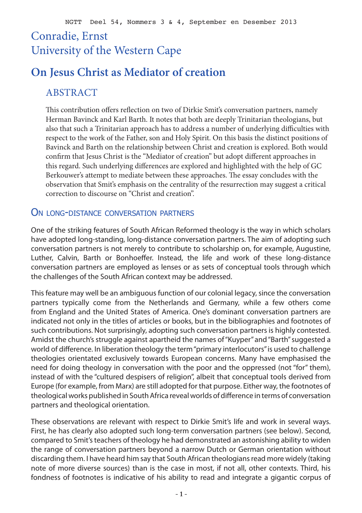# Conradie, Ernst University of the Western Cape

# **On Jesus Christ as Mediator of creation**

## ABSTRACT

This contribution offers reflection on two of Dirkie Smit's conversation partners, namely Herman Bavinck and Karl Barth. It notes that both are deeply Trinitarian theologians, but also that such a Trinitarian approach has to address a number of underlying difficulties with respect to the work of the Father, son and Holy Spirit. On this basis the distinct positions of Bavinck and Barth on the relationship between Christ and creation is explored. Both would confirm that Jesus Christ is the "Mediator of creation" but adopt different approaches in this regard. Such underlying differences are explored and highlighted with the help of GC Berkouwer's attempt to mediate between these approaches. The essay concludes with the observation that Smit's emphasis on the centrality of the resurrection may suggest a critical correction to discourse on "Christ and creation".

### ON LONG-DISTANCE CONVERSATION PARTNERS

One of the striking features of South African Reformed theology is the way in which scholars have adopted long-standing, long-distance conversation partners. The aim of adopting such conversation partners is not merely to contribute to scholarship on, for example, Augustine, Luther, Calvin, Barth or Bonhoeffer. Instead, the life and work of these long-distance conversation partners are employed as lenses or as sets of conceptual tools through which the challenges of the South African context may be addressed.

This feature may well be an ambiguous function of our colonial legacy, since the conversation partners typically come from the Netherlands and Germany, while a few others come from England and the United States of America. One's dominant conversation partners are indicated not only in the titles of articles or books, but in the bibliographies and footnotes of such contributions. Not surprisingly, adopting such conversation partners is highly contested. Amidst the church's struggle against apartheid the names of "Kuyper" and "Barth" suggested a world of difference. In liberation theology the term "primary interlocutors" is used to challenge theologies orientated exclusively towards European concerns. Many have emphasised the need for doing theology in conversation with the poor and the oppressed (not "for" them), instead of with the "cultured despisers of religion", albeit that conceptual tools derived from Europe (for example, from Marx) are still adopted for that purpose. Either way, the footnotes of theological works published in South Africa reveal worlds of difference in terms of conversation partners and theological orientation.

These observations are relevant with respect to Dirkie Smit's life and work in several ways. First, he has clearly also adopted such long-term conversation partners (see below). Second, compared to Smit's teachers of theology he had demonstrated an astonishing ability to widen the range of conversation partners beyond a narrow Dutch or German orientation without discarding them. I have heard him say that South African theologians read more widely (taking note of more diverse sources) than is the case in most, if not all, other contexts. Third, his fondness of footnotes is indicative of his ability to read and integrate a gigantic corpus of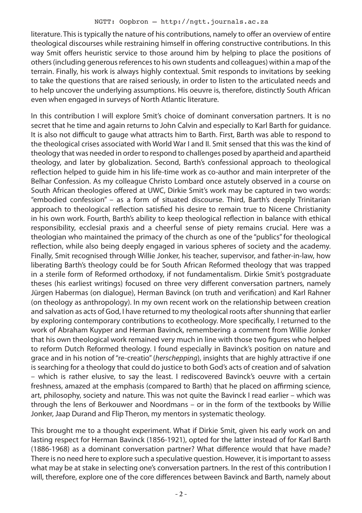#### NGTT: Oopbron – http://ngtt.journals.ac.za

literature. This is typically the nature of his contributions, namely to offer an overview of entire theological discourses while restraining himself in offering constructive contributions. In this way Smit offers heuristic service to those around him by helping to place the positions of others (including generous references to his own students and colleagues) within a map of the terrain. Finally, his work is always highly contextual. Smit responds to invitations by seeking to take the questions that are raised seriously, in order to listen to the articulated needs and to help uncover the underlying assumptions. His oeuvre is, therefore, distinctly South African even when engaged in surveys of North Atlantic literature.

In this contribution I will explore Smit's choice of dominant conversation partners. It is no secret that he time and again returns to John Calvin and especially to Karl Barth for guidance. It is also not difficult to gauge what attracts him to Barth. First, Barth was able to respond to the theological crises associated with World War I and II. Smit sensed that this was the kind of theology that was needed in order to respond to challenges posed by apartheid and apartheid theology, and later by globalization. Second, Barth's confessional approach to theological reflection helped to guide him in his life-time work as co-author and main interpreter of the Belhar Confession. As my colleague Christo Lombard once astutely observed in a course on South African theologies offered at UWC, Dirkie Smit's work may be captured in two words: "embodied confession" – as a form of situated discourse. Third, Barth's deeply Trinitarian approach to theological reflection satisfied his desire to remain true to Nicene Christianity in his own work. Fourth, Barth's ability to keep theological reflection in balance with ethical responsibility, ecclesial praxis and a cheerful sense of piety remains crucial. Here was a theologian who maintained the primacy of the church as one of the "publics" for theological reflection, while also being deeply engaged in various spheres of society and the academy. Finally, Smit recognised through Willie Jonker, his teacher, supervisor, and father-in-law, how liberating Barth's theology could be for South African Reformed theology that was trapped in a sterile form of Reformed orthodoxy, if not fundamentalism. Dirkie Smit's postgraduate theses (his earliest writings) focused on three very different conversation partners, namely Jürgen Habermas (on dialogue), Herman Bavinck (on truth and verification) and Karl Rahner (on theology as anthropology). In my own recent work on the relationship between creation and salvation as acts of God, I have returned to my theological roots after shunning that earlier by exploring contemporary contributions to ecotheology. More specifically, I returned to the work of Abraham Kuyper and Herman Bavinck, remembering a comment from Willie Jonker that his own theological work remained very much in line with those two figures who helped to reform Dutch Reformed theology. I found especially in Bavinck's position on nature and grace and in his notion of "re-creatio" (*herschepping*), insights that are highly attractive if one is searching for a theology that could do justice to both God's acts of creation and of salvation – which is rather elusive, to say the least. I rediscovered Bavinck's oeuvre with a certain freshness, amazed at the emphasis (compared to Barth) that he placed on affirming science, art, philosophy, society and nature. This was not quite the Bavinck I read earlier – which was through the lens of Berkouwer and Noordmans – or in the form of the textbooks by Willie Jonker, Jaap Durand and Flip Theron, my mentors in systematic theology.

This brought me to a thought experiment. What if Dirkie Smit, given his early work on and lasting respect for Herman Bavinck (1856-1921), opted for the latter instead of for Karl Barth (1886-1968) as a dominant conversation partner? What difference would that have made? There is no need here to explore such a speculative question. However, it is important to assess what may be at stake in selecting one's conversation partners. In the rest of this contribution I will, therefore, explore one of the core differences between Bavinck and Barth, namely about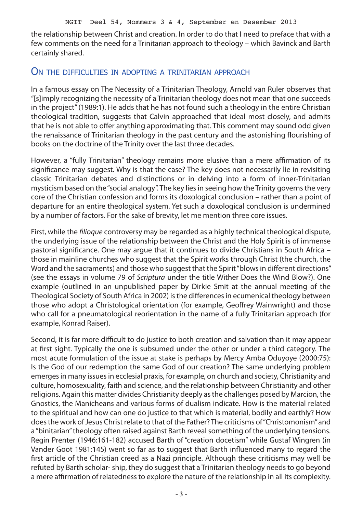the relationship between Christ and creation. In order to do that I need to preface that with a few comments on the need for a Trinitarian approach to theology – which Bavinck and Barth certainly shared.

### ON THE DIFFICULTIES IN ADOPTING A TRINITARIAN APPROACH

In a famous essay on The Necessity of a Trinitarian Theology, Arnold van Ruler observes that "[s]imply recognizing the necessity of a Trinitarian theology does not mean that one succeeds in the project" (1989:1). He adds that he has not found such a theology in the entire Christian theological tradition, suggests that Calvin approached that ideal most closely, and admits that he is not able to offer anything approximating that. This comment may sound odd given the renaissance of Trinitarian theology in the past century and the astonishing flourishing of books on the doctrine of the Trinity over the last three decades.

However, a "fully Trinitarian" theology remains more elusive than a mere affirmation of its significance may suggest. Why is that the case? The key does not necessarily lie in revisiting classic Trinitarian debates and distinctions or in delving into a form of inner-Trinitarian mysticism based on the "social analogy". The key lies in seeing how the Trinity governs the very core of the Christian confession and forms its doxological conclusion – rather than a point of departure for an entire theological system. Yet such a doxological conclusion is undermined by a number of factors. For the sake of brevity, let me mention three core issues.

First, while the *filioque* controversy may be regarded as a highly technical theological dispute, the underlying issue of the relationship between the Christ and the Holy Spirit is of immense pastoral significance. One may argue that it continues to divide Christians in South Africa – those in mainline churches who suggest that the Spirit works through Christ (the church, the Word and the sacraments) and those who suggest that the Spirit "blows in different directions" (see the essays in volume 79 of *Scriptura* under the title Wither Does the Wind Blow?). One example (outlined in an unpublished paper by Dirkie Smit at the annual meeting of the Theological Society of South Africa in 2002) is the differences in ecumenical theology between those who adopt a Christological orientation (for example, Geoffrey Wainwright) and those who call for a pneumatological reorientation in the name of a fully Trinitarian approach (for example, Konrad Raiser).

Second, it is far more difficult to do justice to both creation and salvation than it may appear at first sight. Typically the one is subsumed under the other or under a third category. The most acute formulation of the issue at stake is perhaps by Mercy Amba Oduyoye (2000:75): Is the God of our redemption the same God of our creation? The same underlying problem emerges in many issues in ecclesial praxis, for example, on church and society, Christianity and culture, homosexuality, faith and science, and the relationship between Christianity and other religions. Again this matter divides Christianity deeply as the challenges posed by Marcion, the Gnostics, the Manicheans and various forms of dualism indicate. How is the material related to the spiritual and how can one do justice to that which is material, bodily and earthly? How does the work of Jesus Christ relate to that of the Father? The criticisms of "Christomonism" and a "binitarian" theology often raised against Barth reveal something of the underlying tensions. Regin Prenter (1946:161-182) accused Barth of "creation docetism" while Gustaf Wingren (in Vander Goot 1981:145) went so far as to suggest that Barth influenced many to regard the first article of the Christian creed as a Nazi principle. Although these criticisms may well be refuted by Barth scholar- ship, they do suggest that a Trinitarian theology needs to go beyond a mere affirmation of relatedness to explore the nature of the relationship in all its complexity.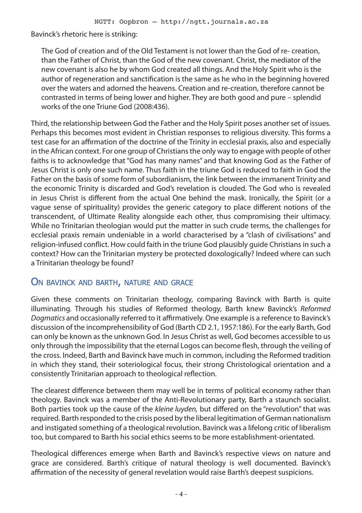Bavinck's rhetoric here is striking:

The God of creation and of the Old Testament is not lower than the God of re- creation, than the Father of Christ, than the God of the new covenant. Christ, the mediator of the new covenant is also he by whom God created all things. And the Holy Spirit who is the author of regeneration and sanctification is the same as he who in the beginning hovered over the waters and adorned the heavens. Creation and re-creation, therefore cannot be contrasted in terms of being lower and higher. They are both good and pure – splendid works of the one Triune God (2008:436).

Third, the relationship between God the Father and the Holy Spirit poses another set of issues. Perhaps this becomes most evident in Christian responses to religious diversity. This forms a test case for an affirmation of the doctrine of the Trinity in ecclesial praxis, also and especially in the African context. For one group of Christians the only way to engage with people of other faiths is to acknowledge that "God has many names" and that knowing God as the Father of Jesus Christ is only one such name. Thus faith in the triune God is reduced to faith in God the Father on the basis of some form of subordianism, the link between the immanent Trinity and the economic Trinity is discarded and God's revelation is clouded. The God who is revealed in Jesus Christ is different from the actual One behind the mask. Ironically, the Spirit (or a vague sense of spirituality) provides the generic category to place different notions of the transcendent, of Ultimate Reality alongside each other, thus compromising their ultimacy. While no Trinitarian theologian would put the matter in such crude terms, the challenges for ecclesial praxis remain undeniable in a world characterised by a "clash of civilisations" and religion-infused conflict. How could faith in the triune God plausibly guide Christians in such a context? How can the Trinitarian mystery be protected doxologically? Indeed where can such a Trinitarian theology be found?

### ON BAVINCK AND BARTH, NATURE AND GRACE

Given these comments on Trinitarian theology, comparing Bavinck with Barth is quite illuminating. Through his studies of Reformed theology, Barth knew Bavinck's *Reformed Dogmatics* and occasionally referred to it affirmatively. One example is a reference to Bavinck's discussion of the incomprehensibility of God (Barth CD 2.1, 1957:186). For the early Barth, God can only be known as the unknown God. In Jesus Christ as well, God becomes accessible to us only through the impossibility that the eternal Logos can become flesh, through the veiling of the cross. Indeed, Barth and Bavinck have much in common, including the Reformed tradition in which they stand, their soteriological focus, their strong Christological orientation and a consistently Trinitarian approach to theological reflection.

The clearest difference between them may well be in terms of political economy rather than theology. Bavinck was a member of the Anti-Revolutionary party, Barth a staunch socialist. Both parties took up the cause of the *kleine luyden,* but differed on the "revolution" that was required. Barth responded to the crisis posed by the liberal legitimation of German nationalism and instigated something of a theological revolution. Bavinck was a lifelong critic of liberalism too, but compared to Barth his social ethics seems to be more establishment-orientated.

Theological differences emerge when Barth and Bavinck's respective views on nature and grace are considered. Barth's critique of natural theology is well documented. Bavinck's affirmation of the necessity of general revelation would raise Barth's deepest suspicions.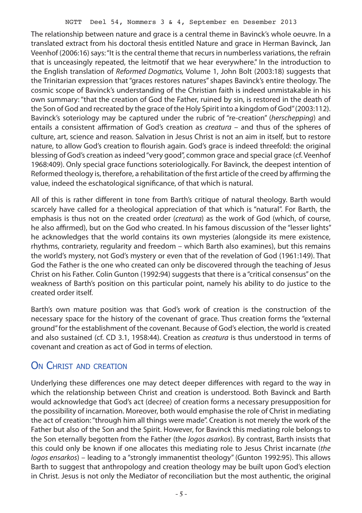The relationship between nature and grace is a central theme in Bavinck's whole oeuvre. In a translated extract from his doctoral thesis entitled Nature and grace in Herman Bavinck, Jan Veenhof (2006:16) says: "It is the central theme that recurs in numberless variations, the refrain that is unceasingly repeated, the leitmotif that we hear everywhere." In the introduction to the English translation of *Reformed Dogmatics,* Volume 1, John Bolt (2003:18) suggests that the Trinitarian expression that "graces restores natures" shapes Bavinck's entire theology. The cosmic scope of Bavinck's understanding of the Christian faith is indeed unmistakable in his own summary: "that the creation of God the Father, ruined by sin, is restored in the death of the Son of God and recreated by the grace of the Holy Spirit into a kingdom of God" (2003:112). Bavinck's soteriology may be captured under the rubric of "re-creation" (*herschepping*) and entails a consistent affirmation of God's creation as *creatura* – and thus of the spheres of culture, art, science and reason. Salvation in Jesus Christ is not an aim in itself, but to restore nature, to allow God's creation to flourish again. God's grace is indeed threefold: the original blessing of God's creation as indeed "very good", common grace and special grace (cf. Veenhof 1968:409). Only special grace functions soteriologically. For Bavinck, the deepest intention of Reformed theology is, therefore, a rehabilitation of the first article of the creed by affirming the value, indeed the eschatological significance, of that which is natural.

All of this is rather different in tone from Barth's critique of natural theology. Barth would scarcely have called for a theological appreciation of that which is "natural". For Barth, the emphasis is thus not on the created order (*creatura*) as the work of God (which, of course, he also affirmed), but on the God who created. In his famous discussion of the "lesser lights" he acknowledges that the world contains its own mysteries (alongside its mere existence, rhythms, contrariety, regularity and freedom – which Barth also examines), but this remains the world's mystery, not God's mystery or even that of the revelation of God (1961:149). That God the Father is the one who created can only be discovered through the teaching of Jesus Christ on his Father. Colin Gunton (1992:94) suggests that there is a "critical consensus" on the weakness of Barth's position on this particular point, namely his ability to do justice to the created order itself.

Barth's own mature position was that God's work of creation is the construction of the necessary space for the history of the covenant of grace. Thus creation forms the "external ground" for the establishment of the covenant. Because of God's election, the world is created and also sustained (cf. CD 3.1, 1958:44). Creation as *creatura* is thus understood in terms of covenant and creation as act of God in terms of election.

# ON CHRIST AND CREATION

Underlying these differences one may detect deeper differences with regard to the way in which the relationship between Christ and creation is understood. Both Bavinck and Barth would acknowledge that God's act (decree) of creation forms a necessary presupposition for the possibility of incarnation. Moreover, both would emphasise the role of Christ in mediating the act of creation: "through him all things were made". Creation is not merely the work of the Father but also of the Son and the Spirit. However, for Bavinck this mediating role belongs to the Son eternally begotten from the Father (the *logos asarkos*). By contrast, Barth insists that this could only be known if one allocates this mediating role to Jesus Christ incarnate (*the logos ensarkos*) – leading to a "strongly immanentist theology" (Gunton 1992:95). This allows Barth to suggest that anthropology and creation theology may be built upon God's election in Christ. Jesus is not only the Mediator of reconciliation but the most authentic, the original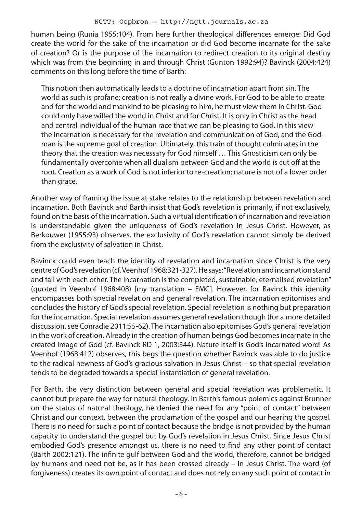#### NGTT: Oopbron – http://ngtt.journals.ac.za

human being (Runia 1955:104). From here further theological differences emerge: Did God create the world for the sake of the incarnation or did God become incarnate for the sake of creation? Or is the purpose of the incarnation to redirect creation to its original destiny which was from the beginning in and through Christ (Gunton 1992:94)? Bavinck (2004:424) comments on this long before the time of Barth:

This notion then automatically leads to a doctrine of incarnation apart from sin. The world as such is profane; creation is not really a divine work. For God to be able to create and for the world and mankind to be pleasing to him, he must view them in Christ. God could only have willed the world in Christ and for Christ. It is only in Christ as the head and central individual of the human race that we can be pleasing to God. In this view the incarnation is necessary for the revelation and communication of God, and the Godman is the supreme goal of creation. Ultimately, this train of thought culminates in the theory that the creation was necessary for God himself … This Gnosticism can only be fundamentally overcome when all dualism between God and the world is cut off at the root. Creation as a work of God is not inferior to re-creation; nature is not of a lower order than grace.

Another way of framing the issue at stake relates to the relationship between revelation and incarnation. Both Bavinck and Barth insist that God's revelation is primarily, if not exclusively, found on the basis of the incarnation. Such a virtual identification of incarnation and revelation is understandable given the uniqueness of God's revelation in Jesus Christ. However, as Berkouwer (1955:93) observes, the exclusivity of God's revelation cannot simply be derived from the exclusivity of salvation in Christ.

Bavinck could even teach the identity of revelation and incarnation since Christ is the very centre of God's revelation (cf. Veenhof 1968:321-327). He says: "Revelation and incarnation stand and fall with each other. The incarnation is the completed, sustainable, eternalised revelation" (quoted in Veenhof 1968:408) [my translation – EMC]. However, for Bavinck this identity encompasses both special revelation and general revelation. The incarnation epitomises and concludes the history of God's special revelation. Special revelation is nothing but preparation for the incarnation. Special revelation assumes general revelation though (for a more detailed discussion, see Conradie 2011:55-62). The incarnation also epitomises God's general revelation in the work of creation. Already in the creation of human beings God becomes incarnate in the created image of God (cf. Bavinck RD 1, 2003:344). Nature itself is God's incarnated word! As Veenhof (1968:412) observes, this begs the question whether Bavinck was able to do justice to the radical newness of God's gracious salvation in Jesus Christ – so that special revelation tends to be degraded towards a special instantiation of general revelation.

For Barth, the very distinction between general and special revelation was problematic. It cannot but prepare the way for natural theology. In Barth's famous polemics against Brunner on the status of natural theology, he denied the need for any "point of contact" between Christ and our context, between the proclamation of the gospel and our hearing the gospel. There is no need for such a point of contact because the bridge is not provided by the human capacity to understand the gospel but by God's revelation in Jesus Christ. Since Jesus Christ embodied God's presence amongst us, there is no need to find any other point of contact (Barth 2002:121). The infinite gulf between God and the world, therefore, cannot be bridged by humans and need not be, as it has been crossed already – in Jesus Christ. The word (of forgiveness) creates its own point of contact and does not rely on any such point of contact in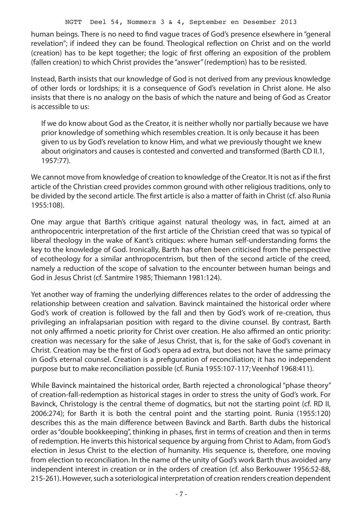human beings. There is no need to find vague traces of God's presence elsewhere in "general revelation"; if indeed they can be found. Theological reflection on Christ and on the world (creation) has to be kept together; the logic of first offering an exposition of the problem (fallen creation) to which Christ provides the "answer" (redemption) has to be resisted.

Instead, Barth insists that our knowledge of God is not derived from any previous knowledge of other lords or lordships; it is a consequence of God's revelation in Christ alone. He also insists that there is no analogy on the basis of which the nature and being of God as Creator is accessible to us:

If we do know about God as the Creator, it is neither wholly nor partially because we have prior knowledge of something which resembles creation. It is only because it has been given to us by God's revelation to know Him, and what we previously thought we knew about originators and causes is contested and converted and transformed (Barth CD II.1, 1957:77).

We cannot move from knowledge of creation to knowledge of the Creator. It is not as if the first article of the Christian creed provides common ground with other religious traditions, only to be divided by the second article. The first article is also a matter of faith in Christ (cf. also Runia 1955:108).

One may argue that Barth's critique against natural theology was, in fact, aimed at an anthropocentric interpretation of the first article of the Christian creed that was so typical of liberal theology in the wake of Kant's critiques: where human self-understanding forms the key to the knowledge of God. Ironically, Barth has often been criticised from the perspective of ecotheology for a similar anthropocentrism, but then of the second article of the creed, namely a reduction of the scope of salvation to the encounter between human beings and God in Jesus Christ (cf. Santmire 1985; Thiemann 1981:124).

Yet another way of framing the underlying differences relates to the order of addressing the relationship between creation and salvation. Bavinck maintained the historical order where God's work of creation is followed by the fall and then by God's work of re-creation, thus privileging an infralapsarian position with regard to the divine counsel. By contrast, Barth not only affirmed a noetic priority for Christ over creation. He also affirmed an ontic priority: creation was necessary for the sake of Jesus Christ, that is, for the sake of God's covenant in Christ. Creation may be the first of God's opera ad extra, but does not have the same primacy in God's eternal counsel. Creation is a prefiguration of reconciliation; it has no independent purpose but to make reconciliation possible (cf. Runia 1955:107-117; Veenhof 1968:411).

While Bavinck maintained the historical order, Barth rejected a chronological "phase theory" of creation-fall-redemption as historical stages in order to stress the unity of God's work. For Bavinck, Christology is the central theme of dogmatics, but not the starting point (cf. RD II, 2006:274); for Barth it is both the central point and the starting point. Runia (1955:120) describes this as the main difference between Bavinck and Barth. Barth dubs the historical order as "double bookkeeping", thinking in phases, first in terms of creation and then in terms of redemption. He inverts this historical sequence by arguing from Christ to Adam, from God's election in Jesus Christ to the election of humanity. His sequence is, therefore, one moving from election to reconciliation. In the name of the unity of God's work Barth thus avoided any independent interest in creation or in the orders of creation (cf. also Berkouwer 1956:52-88, 215-261). However, such a soteriological interpretation of creation renders creation dependent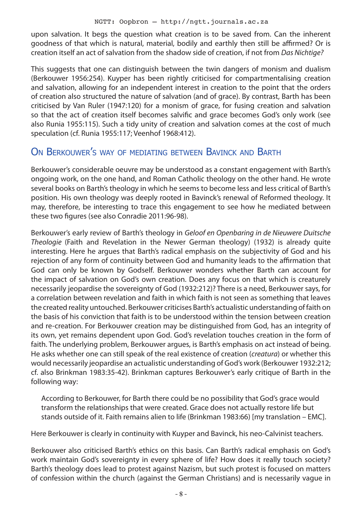upon salvation. It begs the question what creation is to be saved from. Can the inherent goodness of that which is natural, material, bodily and earthly then still be affirmed? Or is creation itself an act of salvation from the shadow side of creation, if not from *Das Nichtige?*

This suggests that one can distinguish between the twin dangers of monism and dualism (Berkouwer 1956:254). Kuyper has been rightly criticised for compartmentalising creation and salvation, allowing for an independent interest in creation to the point that the orders of creation also structured the nature of salvation (and of grace). By contrast, Barth has been criticised by Van Ruler (1947:120) for a monism of grace, for fusing creation and salvation so that the act of creation itself becomes salvific and grace becomes God's only work (see also Runia 1955:115). Such a tidy unity of creation and salvation comes at the cost of much speculation (cf. Runia 1955:117; Veenhof 1968:412).

## On Berkouwer's way of mediating between Bavinck and Barth

Berkouwer's considerable oeuvre may be understood as a constant engagement with Barth's ongoing work, on the one hand, and Roman Catholic theology on the other hand. He wrote several books on Barth's theology in which he seems to become less and less critical of Barth's position. His own theology was deeply rooted in Bavinck's renewal of Reformed theology. It may, therefore, be interesting to trace this engagement to see how he mediated between these two figures (see also Conradie 2011:96-98).

Berkouwer's early review of Barth's theology in *Geloof en Openbaring in de Nieuwere Duitsche Theologie* (Faith and Revelation in the Newer German theology) (1932) is already quite interesting. Here he argues that Barth's radical emphasis on the subjectivity of God and his rejection of any form of continuity between God and humanity leads to the affirmation that God can only be known by Godself. Berkouwer wonders whether Barth can account for the impact of salvation on God's own creation. Does any focus on that which is creaturely necessarily jeopardise the sovereignty of God (1932:212)? There is a need, Berkouwer says, for a correlation between revelation and faith in which faith is not seen as something that leaves the created reality untouched. Berkouwer criticises Barth's actualistic understanding of faith on the basis of his conviction that faith is to be understood within the tension between creation and re-creation. For Berkouwer creation may be distinguished from God, has an integrity of its own, yet remains dependent upon God. God's revelation touches creation in the form of faith. The underlying problem, Berkouwer argues, is Barth's emphasis on act instead of being. He asks whether one can still speak of the real existence of creation (*creatura*) or whether this would necessarily jeopardise an actualistic understanding of God's work (Berkouwer 1932:212; cf. also Brinkman 1983:35-42). Brinkman captures Berkouwer's early critique of Barth in the following way:

According to Berkouwer, for Barth there could be no possibility that God's grace would transform the relationships that were created. Grace does not actually restore life but stands outside of it. Faith remains alien to life (Brinkman 1983:66) [my translation – EMC].

Here Berkouwer is clearly in continuity with Kuyper and Bavinck, his neo-Calvinist teachers.

Berkouwer also criticised Barth's ethics on this basis. Can Barth's radical emphasis on God's work maintain God's sovereignty in every sphere of life? How does it really touch society? Barth's theology does lead to protest against Nazism, but such protest is focused on matters of confession within the church (against the German Christians) and is necessarily vague in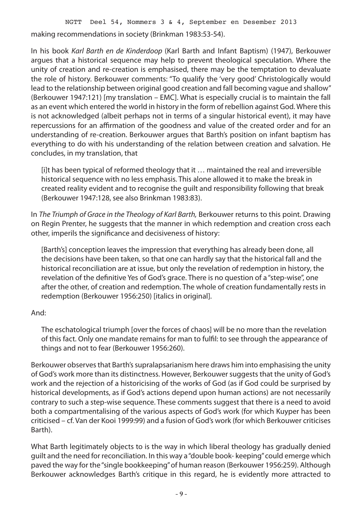NGTT Deel 54, Nommers 3 & 4, September en Desember 2013

making recommendations in society (Brinkman 1983:53-54).

In his book *Karl Barth en de Kinderdoop* (Karl Barth and Infant Baptism) (1947), Berkouwer argues that a historical sequence may help to prevent theological speculation. Where the unity of creation and re-creation is emphasised, there may be the temptation to devaluate the role of history. Berkouwer comments: "To qualify the 'very good' Christologically would lead to the relationship between original good creation and fall becoming vague and shallow" (Berkouwer 1947:121) [my translation – EMC]. What is especially crucial is to maintain the fall as an event which entered the world in history in the form of rebellion against God. Where this is not acknowledged (albeit perhaps not in terms of a singular historical event), it may have repercussions for an affirmation of the goodness and value of the created order and for an understanding of re-creation. Berkouwer argues that Barth's position on infant baptism has everything to do with his understanding of the relation between creation and salvation. He concludes, in my translation, that

[i]t has been typical of reformed theology that it … maintained the real and irreversible historical sequence with no less emphasis. This alone allowed it to make the break in created reality evident and to recognise the guilt and responsibility following that break (Berkouwer 1947:128, see also Brinkman 1983:83).

In *The Triumph of Grace in the Theology of Karl Barth,* Berkouwer returns to this point. Drawing on Regin Prenter, he suggests that the manner in which redemption and creation cross each other, imperils the significance and decisiveness of history:

[Barth's] conception leaves the impression that everything has already been done, all the decisions have been taken, so that one can hardly say that the historical fall and the historical reconciliation are at issue, but only the revelation of redemption in history, the revelation of the definitive Yes of God's grace. There is no question of a "step-wise", one after the other, of creation and redemption. The whole of creation fundamentally rests in redemption (Berkouwer 1956:250) [italics in original].

#### And:

The eschatological triumph [over the forces of chaos] will be no more than the revelation of this fact. Only one mandate remains for man to fulfil: to see through the appearance of things and not to fear (Berkouwer 1956:260).

Berkouwer observes that Barth's supralapsarianism here draws him into emphasising the unity of God's work more than its distinctness. However, Berkouwer suggests that the unity of God's work and the rejection of a historicising of the works of God (as if God could be surprised by historical developments, as if God's actions depend upon human actions) are not necessarily contrary to such a step-wise sequence. These comments suggest that there is a need to avoid both a compartmentalising of the various aspects of God's work (for which Kuyper has been criticised – cf. Van der Kooi 1999:99) and a fusion of God's work (for which Berkouwer criticises Barth).

What Barth legitimately objects to is the way in which liberal theology has gradually denied guilt and the need for reconciliation. In this way a "double book- keeping" could emerge which paved the way for the "single bookkeeping" of human reason (Berkouwer 1956:259). Although Berkouwer acknowledges Barth's critique in this regard, he is evidently more attracted to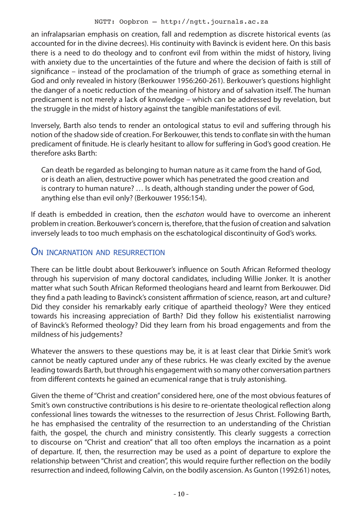#### NGTT: Oopbron – http://ngtt.journals.ac.za

an infralapsarian emphasis on creation, fall and redemption as discrete historical events (as accounted for in the divine decrees). His continuity with Bavinck is evident here. On this basis there is a need to do theology and to confront evil from within the midst of history, living with anxiety due to the uncertainties of the future and where the decision of faith is still of significance – instead of the proclamation of the triumph of grace as something eternal in God and only revealed in history (Berkouwer 1956:260-261). Berkouwer's questions highlight the danger of a noetic reduction of the meaning of history and of salvation itself. The human predicament is not merely a lack of knowledge – which can be addressed by revelation, but the struggle in the midst of history against the tangible manifestations of evil.

Inversely, Barth also tends to render an ontological status to evil and suffering through his notion of the shadow side of creation. For Berkouwer, this tends to conflate sin with the human predicament of finitude. He is clearly hesitant to allow for suffering in God's good creation. He therefore asks Barth:

Can death be regarded as belonging to human nature as it came from the hand of God, or is death an alien, destructive power which has penetrated the good creation and is contrary to human nature? … Is death, although standing under the power of God, anything else than evil only? (Berkouwer 1956:154).

If death is embedded in creation, then the *eschaton* would have to overcome an inherent problem in creation. Berkouwer's concern is, therefore, that the fusion of creation and salvation inversely leads to too much emphasis on the eschatological discontinuity of God's works.

### ON INCARNATION AND RESURRECTION

There can be little doubt about Berkouwer's influence on South African Reformed theology through his supervision of many doctoral candidates, including Willie Jonker. It is another matter what such South African Reformed theologians heard and learnt from Berkouwer. Did they find a path leading to Bavinck's consistent affirmation of science, reason, art and culture? Did they consider his remarkably early critique of apartheid theology? Were they enticed towards his increasing appreciation of Barth? Did they follow his existentialist narrowing of Bavinck's Reformed theology? Did they learn from his broad engagements and from the mildness of his judgements?

Whatever the answers to these questions may be, it is at least clear that Dirkie Smit's work cannot be neatly captured under any of these rubrics. He was clearly excited by the avenue leading towards Barth, but through his engagement with so many other conversation partners from different contexts he gained an ecumenical range that is truly astonishing.

Given the theme of "Christ and creation" considered here, one of the most obvious features of Smit's own constructive contributions is his desire to re-orientate theological reflection along confessional lines towards the witnesses to the resurrection of Jesus Christ. Following Barth, he has emphasised the centrality of the resurrection to an understanding of the Christian faith, the gospel, the church and ministry consistently. This clearly suggests a correction to discourse on "Christ and creation" that all too often employs the incarnation as a point of departure. If, then, the resurrection may be used as a point of departure to explore the relationship between "Christ and creation", this would require further reflection on the bodily resurrection and indeed, following Calvin, on the bodily ascension. As Gunton (1992:61) notes,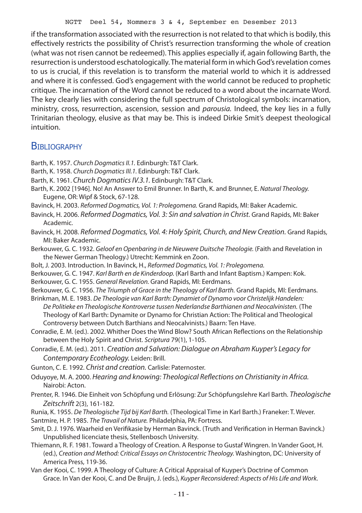if the transformation associated with the resurrection is not related to that which is bodily, this effectively restricts the possibility of Christ's resurrection transforming the whole of creation (what was not risen cannot be redeemed). This applies especially if, again following Barth, the resurrection is understood eschatologically. The material form in which God's revelation comes to us is crucial, if this revelation is to transform the material world to which it is addressed and where it is confessed. God's engagement with the world cannot be reduced to prophetic critique. The incarnation of the Word cannot be reduced to a word about the incarnate Word. The key clearly lies with considering the full spectrum of Christological symbols: incarnation, ministry, cross, resurrection, ascension, session and *parousia.* Indeed, the key lies in a fully Trinitarian theology, elusive as that may be. This is indeed Dirkie Smit's deepest theological intuition.

### **BIBLIOGRAPHY**

- Barth, K. 1957. *Church Dogmatics II.1.* Edinburgh: T&T Clark.
- Barth, K. 1958. *Church Dogmatics III.1.* Edinburgh: T&T Clark.
- Barth, K. 1961. *Church Dogmatics IV.3.1.* Edinburgh: T&T Clark.
- Barth, K. 2002 [1946]. No! An Answer to Emil Brunner. In Barth, K. and Brunner, E. *Natural Theology.*  Eugene, OR: Wipf & Stock, 67-128.
- Bavinck, H. 2003. *Reformed Dogmatics, Vol. 1: Prolegomena.* Grand Rapids, MI: Baker Academic.
- Bavinck, H. 2006. *Reformed Dogmatics, Vol. 3: Sin and salvation in Christ.* Grand Rapids, MI: Baker Academic.
- Bavinck, H. 2008. *Reformed Dogmatics, Vol. 4: Holy Spirit, Church, and New Creation.* Grand Rapids, MI: Baker Academic.
- Berkouwer, G. C. 1932. *Geloof en Openbaring in de Nieuwere Duitsche Theologie*. (Faith and Revelation in the Newer German Theology.) Utrecht: Kemmink en Zoon.
- Bolt, J. 2003. Introduction. In Bavinck, H., *Reformed Dogmatics, Vol. 1: Prolegomena.*
- Berkouwer, G. C. 1947. *Karl Barth en de Kinderdoop.* (Karl Barth and Infant Baptism.) Kampen: Kok.
- Berkouwer, G. C. 1955. *General Revelation.* Grand Rapids, MI: Eerdmans.
- Berkouwer, G. C. 1956. *The Triumph of Grace in the Theology of Karl Barth.* Grand Rapids, MI: Eerdmans. Brinkman, M. E. 1983. *De Theologie van Karl Barth: Dynamiet of Dynamo voor Christelijk Handelen:* 
	- *De Politieke en Theologische Kontroverse tussen Nederlandse Barthianen and Neocalvinisten.* (The Theology of Karl Barth: Dynamite or Dynamo for Christian Action: The Political and Theological Controversy between Dutch Barthians and Neocalvinists.) Baarn: Ten Have.
- Conradie, E. M. (ed.). 2002. Whither Does the Wind Blow? South African Reflections on the Relationship between the Holy Spirit and Christ. *Scriptura* 79(1), 1-105.
- Conradie, E. M. (ed.). 2011. *Creation and Salvation: Dialogue on Abraham Kuyper's Legacy for Contemporary Ecotheology.* Leiden: Brill.
- Gunton, C. E. 1992. *Christ and creation.* Carlisle: Paternoster.
- Oduyoye, M. A. 2000. *Hearing and knowing: Theological Reflections on Christianity in Africa.* Nairobi: Acton.
- Prenter, R. 1946. Die Einheit von Schöpfung und Erlösung: Zur Schöpfungslehre Karl Barth. *Theologische Zeitschrift* 2(3), 161-182.
- Runia, K. 1955. *De Theologische Tijd bij Karl Barth.* (Theological Time in Karl Barth.) Franeker: T. Wever. Santmire, H. P. 1985. *The Travail of Nature.* Philadelphia, PA: Fortress.
- Smit, D. J. 1976. Waarheid en Verifikasie by Herman Bavinck. (Truth and Verification in Herman Bavinck.) Unpublished licenciate thesis, Stellenbosch University.
- Thiemann, R. F. 1981. Toward a Theology of Creation. A Response to Gustaf Wingren. In Vander Goot, H. (ed.), *Creation and Method: Critical Essays on Christocentric Theology.* Washington, DC: University of America Press, 119-36.
- Van der Kooi, C. 1999. A Theology of Culture: A Critical Appraisal of Kuyper's Doctrine of Common Grace. In Van der Kooi, C. and De Bruijn, J. (eds.), *Kuyper Reconsidered: Aspects of His Life and Work.*